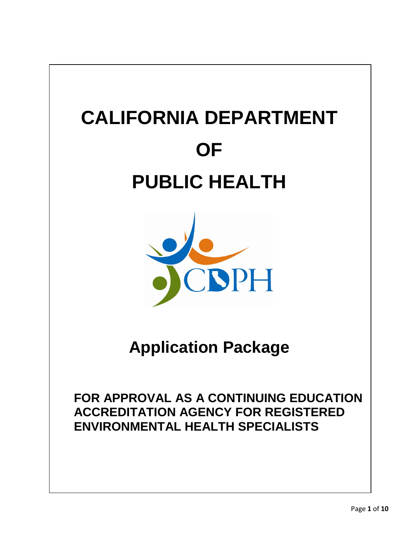



**Application Package** 

**FOR APPROVAL AS A CONTINUING EDUCATION ACCREDITATION AGENCY FOR REGISTERED ENVIRONMENTAL HEALTH SPECIALISTS**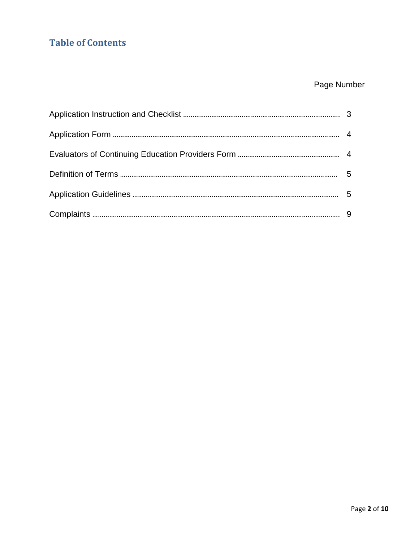## **Table of Contents**

# Page Number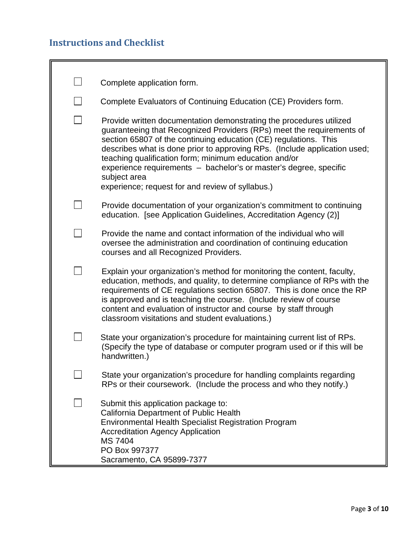# **Instructions and Checklist**

| Complete application form.                                                                                                                                                                                                                                                                                                                                                                                                                                                                      |
|-------------------------------------------------------------------------------------------------------------------------------------------------------------------------------------------------------------------------------------------------------------------------------------------------------------------------------------------------------------------------------------------------------------------------------------------------------------------------------------------------|
| Complete Evaluators of Continuing Education (CE) Providers form.                                                                                                                                                                                                                                                                                                                                                                                                                                |
| Provide written documentation demonstrating the procedures utilized<br>guaranteeing that Recognized Providers (RPs) meet the requirements of<br>section 65807 of the continuing education (CE) regulations. This<br>describes what is done prior to approving RPs. (Include application used;<br>teaching qualification form; minimum education and/or<br>experience requirements - bachelor's or master's degree, specific<br>subject area<br>experience; request for and review of syllabus.) |
| Provide documentation of your organization's commitment to continuing<br>education. [see Application Guidelines, Accreditation Agency (2)]                                                                                                                                                                                                                                                                                                                                                      |
| Provide the name and contact information of the individual who will<br>oversee the administration and coordination of continuing education<br>courses and all Recognized Providers.                                                                                                                                                                                                                                                                                                             |
| Explain your organization's method for monitoring the content, faculty,<br>education, methods, and quality, to determine compliance of RPs with the<br>requirements of CE regulations section 65807. This is done once the RP<br>is approved and is teaching the course. (Include review of course<br>content and evaluation of instructor and course by staff through<br>classroom visitations and student evaluations.)                                                                       |
| State your organization's procedure for maintaining current list of RPs.<br>(Specify the type of database or computer program used or if this will be<br>handwritten.)                                                                                                                                                                                                                                                                                                                          |
| State your organization's procedure for handling complaints regarding<br>RPs or their coursework. (Include the process and who they notify.)                                                                                                                                                                                                                                                                                                                                                    |
| Submit this application package to:<br><b>California Department of Public Health</b><br>Environmental Health Specialist Registration Program<br><b>Accreditation Agency Application</b><br>MS 7404<br>PO Box 997377<br>Sacramento, CA 95899-7377                                                                                                                                                                                                                                                |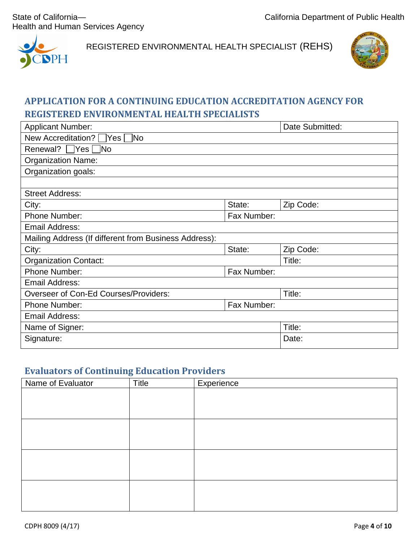Health and Human Services Agency



REGISTERED ENVIRONMENTAL HEALTH SPECIALIST (REHS)



### **APPLICATION FOR A CONTINUING EDUCATION ACCREDITATION AGENCY FOR REGISTERED ENVIRONMENTAL HEALTH SPECIALISTS**

| <b>Applicant Number:</b>                              |             | Date Submitted: |  |  |  |
|-------------------------------------------------------|-------------|-----------------|--|--|--|
| ้ No<br>New Accreditation?<br> Yes                    |             |                 |  |  |  |
| Renewal? $\bigcap$ Yes $\bigcap$<br><b>No</b>         |             |                 |  |  |  |
| <b>Organization Name:</b>                             |             |                 |  |  |  |
| Organization goals:                                   |             |                 |  |  |  |
|                                                       |             |                 |  |  |  |
| <b>Street Address:</b>                                |             |                 |  |  |  |
| City:                                                 | State:      | Zip Code:       |  |  |  |
| <b>Phone Number:</b>                                  | Fax Number: |                 |  |  |  |
| <b>Email Address:</b>                                 |             |                 |  |  |  |
| Mailing Address (If different from Business Address): |             |                 |  |  |  |
| City:                                                 | State:      | Zip Code:       |  |  |  |
| <b>Organization Contact:</b>                          |             | Title:          |  |  |  |
| Phone Number:<br>Fax Number:                          |             |                 |  |  |  |
| <b>Email Address:</b>                                 |             |                 |  |  |  |
| Overseer of Con-Ed Courses/Providers:                 |             | Title:          |  |  |  |
| Fax Number:<br><b>Phone Number:</b>                   |             |                 |  |  |  |
| <b>Email Address:</b>                                 |             |                 |  |  |  |
| Name of Signer:                                       |             | Title:          |  |  |  |
| Signature:                                            |             | Date:           |  |  |  |

#### **Evaluators of Continuing Education Providers**

| Name of Evaluator | Title | Experience |
|-------------------|-------|------------|
|                   |       |            |
|                   |       |            |
|                   |       |            |
|                   |       |            |
|                   |       |            |
|                   |       |            |
|                   |       |            |
|                   |       |            |
|                   |       |            |
|                   |       |            |
|                   |       |            |
|                   |       |            |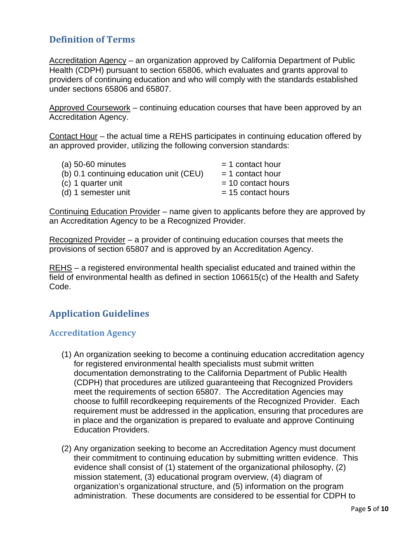### **Definition of Terms**

Accreditation Agency - an organization approved by California Department of Public Health (CDPH) pursuant to section 65806, which evaluates and grants approval to providers of continuing education and who will comply with the standards established under sections 65806 and 65807.

Approved Coursework – continuing education courses that have been approved by an Accreditation Agency.

Contact Hour – the actual time a REHS participates in continuing education offered by an approved provider, utilizing the following conversion standards:

| (a) 50-60 minutes                       | $=$ 1 contact hour   |
|-----------------------------------------|----------------------|
| (b) 0.1 continuing education unit (CEU) | $=$ 1 contact hour   |
| (c) 1 quarter unit                      | $= 10$ contact hours |
| (d) 1 semester unit                     | $= 15$ contact hours |

Continuing Education Provider – name given to applicants before they are approved by an Accreditation Agency to be a Recognized Provider.

Recognized Provider – a provider of continuing education courses that meets the provisions of section 65807 and is approved by an Accreditation Agency.

REHS – a registered environmental health specialist educated and trained within the field of environmental health as defined in section 106615(c) of the Health and Safety Code.

### **Application Guidelines**

#### **Accreditation Agency**

- (1) An organization seeking to become a continuing education accreditation agency for registered environmental health specialists must submit written documentation demonstrating to the California Department of Public Health (CDPH) that procedures are utilized guaranteeing that Recognized Providers meet the requirements of section 65807. The Accreditation Agencies may choose to fulfill recordkeeping requirements of the Recognized Provider. Each requirement must be addressed in the application, ensuring that procedures are in place and the organization is prepared to evaluate and approve Continuing Education Providers.
- (2) Any organization seeking to become an Accreditation Agency must document their commitment to continuing education by submitting written evidence. This evidence shall consist of (1) statement of the organizational philosophy, (2) mission statement, (3) educational program overview, (4) diagram of organization's organizational structure, and (5) information on the program administration. These documents are considered to be essential for CDPH to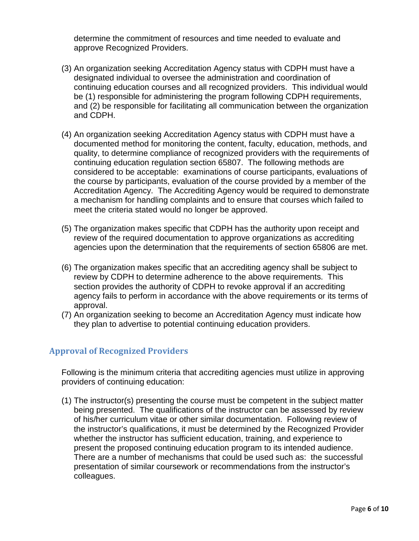determine the commitment of resources and time needed to evaluate and approve Recognized Providers.

- (3) An organization seeking Accreditation Agency status with CDPH must have a designated individual to oversee the administration and coordination of continuing education courses and all recognized providers. This individual would be (1) responsible for administering the program following CDPH requirements, and (2) be responsible for facilitating all communication between the organization and CDPH.
- (4) An organization seeking Accreditation Agency status with CDPH must have a documented method for monitoring the content, faculty, education, methods, and quality, to determine compliance of recognized providers with the requirements of continuing education regulation section 65807. The following methods are considered to be acceptable: examinations of course participants, evaluations of the course by participants, evaluation of the course provided by a member of the Accreditation Agency. The Accrediting Agency would be required to demonstrate a mechanism for handling complaints and to ensure that courses which failed to meet the criteria stated would no longer be approved.
- (5) The organization makes specific that CDPH has the authority upon receipt and review of the required documentation to approve organizations as accrediting agencies upon the determination that the requirements of section 65806 are met.
- (6) The organization makes specific that an accrediting agency shall be subject to review by CDPH to determine adherence to the above requirements. This section provides the authority of CDPH to revoke approval if an accrediting agency fails to perform in accordance with the above requirements or its terms of approval.
- (7) An organization seeking to become an Accreditation Agency must indicate how they plan to advertise to potential continuing education providers.

#### **Approval of Recognized Providers**

Following is the minimum criteria that accrediting agencies must utilize in approving providers of continuing education:

(1) The instructor(s) presenting the course must be competent in the subject matter being presented. The qualifications of the instructor can be assessed by review of his/her curriculum vitae or other similar documentation. Following review of the instructor's qualifications, it must be determined by the Recognized Provider whether the instructor has sufficient education, training, and experience to present the proposed continuing education program to its intended audience. There are a number of mechanisms that could be used such as: the successful presentation of similar coursework or recommendations from the instructor's colleagues.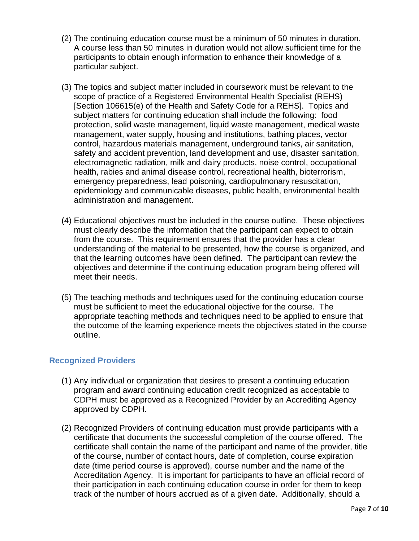- (2) The continuing education course must be a minimum of 50 minutes in duration. A course less than 50 minutes in duration would not allow sufficient time for the participants to obtain enough information to enhance their knowledge of a particular subject.
- (3) The topics and subject matter included in coursework must be relevant to the scope of practice of a Registered Environmental Health Specialist (REHS) [Section 106615(e) of the Health and Safety Code for a REHS]. Topics and subject matters for continuing education shall include the following: food protection, solid waste management, liquid waste management, medical waste management, water supply, housing and institutions, bathing places, vector control, hazardous materials management, underground tanks, air sanitation, safety and accident prevention, land development and use, disaster sanitation, electromagnetic radiation, milk and dairy products, noise control, occupational health, rabies and animal disease control, recreational health, bioterrorism, emergency preparedness, lead poisoning, cardiopulmonary resuscitation, epidemiology and communicable diseases, public health, environmental health administration and management.
- (4) Educational objectives must be included in the course outline. These objectives must clearly describe the information that the participant can expect to obtain from the course. This requirement ensures that the provider has a clear understanding of the material to be presented, how the course is organized, and that the learning outcomes have been defined. The participant can review the objectives and determine if the continuing education program being offered will meet their needs.
- (5) The teaching methods and techniques used for the continuing education course must be sufficient to meet the educational objective for the course. The appropriate teaching methods and techniques need to be applied to ensure that the outcome of the learning experience meets the objectives stated in the course outline.

#### **Recognized Providers**

- (1) Any individual or organization that desires to present a continuing education program and award continuing education credit recognized as acceptable to CDPH must be approved as a Recognized Provider by an Accrediting Agency approved by CDPH.
- (2) Recognized Providers of continuing education must provide participants with a certificate that documents the successful completion of the course offered. The certificate shall contain the name of the participant and name of the provider, title of the course, number of contact hours, date of completion, course expiration date (time period course is approved), course number and the name of the Accreditation Agency. It is important for participants to have an official record of their participation in each continuing education course in order for them to keep track of the number of hours accrued as of a given date. Additionally, should a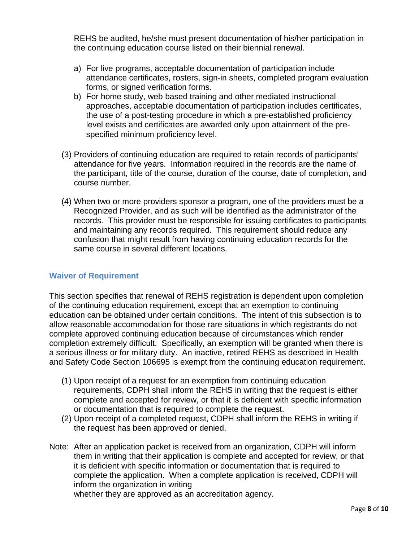REHS be audited, he/she must present documentation of his/her participation in the continuing education course listed on their biennial renewal.

- a) For live programs, acceptable documentation of participation include attendance certificates, rosters, sign-in sheets, completed program evaluation forms, or signed verification forms.
- b) For home study, web based training and other mediated instructional approaches, acceptable documentation of participation includes certificates, the use of a post-testing procedure in which a pre-established proficiency level exists and certificates are awarded only upon attainment of the prespecified minimum proficiency level.
- (3) Providers of continuing education are required to retain records of participants' attendance for five years. Information required in the records are the name of the participant, title of the course, duration of the course, date of completion, and course number.
- (4) When two or more providers sponsor a program, one of the providers must be a Recognized Provider, and as such will be identified as the administrator of the records. This provider must be responsible for issuing certificates to participants and maintaining any records required. This requirement should reduce any confusion that might result from having continuing education records for the same course in several different locations.

#### **Waiver of Requirement**

This section specifies that renewal of REHS registration is dependent upon completion of the continuing education requirement, except that an exemption to continuing education can be obtained under certain conditions. The intent of this subsection is to allow reasonable accommodation for those rare situations in which registrants do not complete approved continuing education because of circumstances which render completion extremely difficult. Specifically, an exemption will be granted when there is a serious illness or for military duty. An inactive, retired REHS as described in Health and Safety Code Section 106695 is exempt from the continuing education requirement.

- (1) Upon receipt of a request for an exemption from continuing education requirements, CDPH shall inform the REHS in writing that the request is either complete and accepted for review, or that it is deficient with specific information or documentation that is required to complete the request.
- (2) Upon receipt of a completed request, CDPH shall inform the REHS in writing if the request has been approved or denied.
- Note: After an application packet is received from an organization, CDPH will inform them in writing that their application is complete and accepted for review, or that it is deficient with specific information or documentation that is required to complete the application. When a complete application is received, CDPH will inform the organization in writing whether they are approved as an accreditation agency.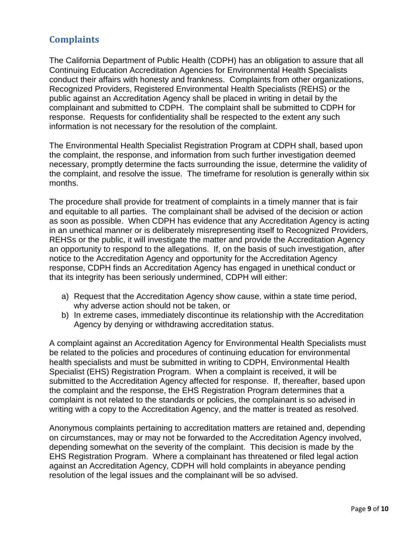### **Complaints**

The California Department of Public Health (CDPH) has an obligation to assure that all Continuing Education Accreditation Agencies for Environmental Health Specialists conduct their affairs with honesty and frankness. Complaints from other organizations, Recognized Providers, Registered Environmental Health Specialists (REHS) or the public against an Accreditation Agency shall be placed in writing in detail by the complainant and submitted to CDPH. The complaint shall be submitted to CDPH for response. Requests for confidentiality shall be respected to the extent any such information is not necessary for the resolution of the complaint.

The Environmental Health Specialist Registration Program at CDPH shall, based upon the complaint, the response, and information from such further investigation deemed necessary, promptly determine the facts surrounding the issue, determine the validity of the complaint, and resolve the issue. The timeframe for resolution is generally within six months.

The procedure shall provide for treatment of complaints in a timely manner that is fair and equitable to all parties. The complainant shall be advised of the decision or action as soon as possible. When CDPH has evidence that any Accreditation Agency is acting in an unethical manner or is deliberately misrepresenting itself to Recognized Providers, REHSs or the public, it will investigate the matter and provide the Accreditation Agency an opportunity to respond to the allegations. If, on the basis of such investigation, after notice to the Accreditation Agency and opportunity for the Accreditation Agency response, CDPH finds an Accreditation Agency has engaged in unethical conduct or that its integrity has been seriously undermined, CDPH will either:

- a) Request that the Accreditation Agency show cause, within a state time period, why adverse action should not be taken, or
- b) In extreme cases, immediately discontinue its relationship with the Accreditation Agency by denying or withdrawing accreditation status.

A complaint against an Accreditation Agency for Environmental Health Specialists must be related to the policies and procedures of continuing education for environmental health specialists and must be submitted in writing to CDPH, Environmental Health Specialist (EHS) Registration Program. When a complaint is received, it will be submitted to the Accreditation Agency affected for response. If, thereafter, based upon the complaint and the response, the EHS Registration Program determines that a complaint is not related to the standards or policies, the complainant is so advised in writing with a copy to the Accreditation Agency, and the matter is treated as resolved.

Anonymous complaints pertaining to accreditation matters are retained and, depending on circumstances, may or may not be forwarded to the Accreditation Agency involved, depending somewhat on the severity of the complaint. This decision is made by the EHS Registration Program. Where a complainant has threatened or filed legal action against an Accreditation Agency, CDPH will hold complaints in abeyance pending resolution of the legal issues and the complainant will be so advised.